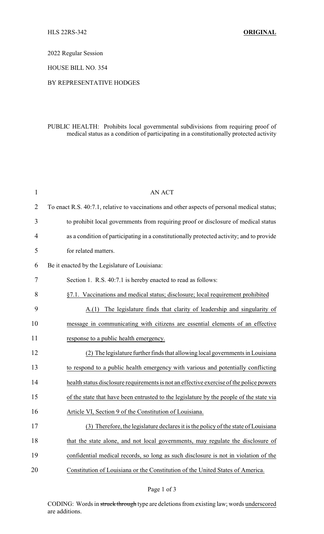2022 Regular Session

HOUSE BILL NO. 354

## BY REPRESENTATIVE HODGES

## PUBLIC HEALTH: Prohibits local governmental subdivisions from requiring proof of medical status as a condition of participating in a constitutionally protected activity

| $\mathbf{1}$   | <b>AN ACT</b>                                                                                |
|----------------|----------------------------------------------------------------------------------------------|
| $\overline{2}$ | To enact R.S. 40:7.1, relative to vaccinations and other aspects of personal medical status; |
| 3              | to prohibit local governments from requiring proof or disclosure of medical status           |
| 4              | as a condition of participating in a constitutionally protected activity; and to provide     |
| 5              | for related matters.                                                                         |
| 6              | Be it enacted by the Legislature of Louisiana:                                               |
| 7              | Section 1. R.S. 40:7.1 is hereby enacted to read as follows:                                 |
| 8              | §7.1. Vaccinations and medical status; disclosure; local requirement prohibited              |
| 9              | $A(1)$ The legislature finds that clarity of leadership and singularity of                   |
| 10             | message in communicating with citizens are essential elements of an effective                |
| 11             | response to a public health emergency.                                                       |
| 12             | (2) The legislature further finds that allowing local governments in Louisiana               |
| 13             | to respond to a public health emergency with various and potentially conflicting             |
| 14             | health status disclosure requirements is not an effective exercise of the police powers      |
| 15             | of the state that have been entrusted to the legislature by the people of the state via      |
| 16             | Article VI, Section 9 of the Constitution of Louisiana.                                      |
| 17             | (3) Therefore, the legislature declares it is the policy of the state of Louisiana           |
| 18             | that the state alone, and not local governments, may regulate the disclosure of              |
| 19             | confidential medical records, so long as such disclosure is not in violation of the          |
| 20             | Constitution of Louisiana or the Constitution of the United States of America.               |

## Page 1 of 3

CODING: Words in struck through type are deletions from existing law; words underscored are additions.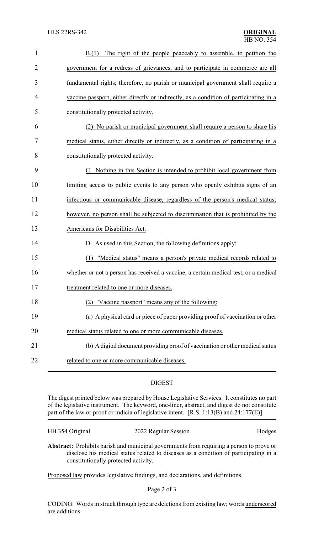| $\mathbf{1}$   | The right of the people peaceably to assemble, to petition the<br>B(1)                |
|----------------|---------------------------------------------------------------------------------------|
| $\overline{2}$ | government for a redress of grievances, and to participate in commerce are all        |
| 3              | fundamental rights; therefore, no parish or municipal government shall require a      |
| 4              | vaccine passport, either directly or indirectly, as a condition of participating in a |
| 5              | constitutionally protected activity.                                                  |
| 6              | No parish or municipal government shall require a person to share his                 |
| 7              | medical status, either directly or indirectly, as a condition of participating in a   |
| 8              | constitutionally protected activity.                                                  |
| 9              | C. Nothing in this Section is intended to prohibit local government from              |
| 10             | limiting access to public events to any person who openly exhibits signs of an        |
| 11             | infectious or communicable disease, regardless of the person's medical status;        |
| 12             | however, no person shall be subjected to discrimination that is prohibited by the     |
| 13             | Americans for Disabilities Act.                                                       |
| 14             | D. As used in this Section, the following definitions apply:                          |
| 15             | (1) "Medical status" means a person's private medical records related to              |
| 16             | whether or not a person has received a vaccine, a certain medical test, or a medical  |
| 17             | treatment related to one or more diseases                                             |
| 18             | (2) "Vaccine passport" means any of the following:                                    |
| 19             | (a) A physical card or piece of paper providing proof of vaccination or other         |
| 20             | medical status related to one or more communicable diseases.                          |
| 21             | (b) A digital document providing proof of vaccination or other medical status         |
| 22             | related to one or more communicable diseases.                                         |

## DIGEST

The digest printed below was prepared by House Legislative Services. It constitutes no part of the legislative instrument. The keyword, one-liner, abstract, and digest do not constitute part of the law or proof or indicia of legislative intent. [R.S. 1:13(B) and 24:177(E)]

| HB 354 Original | 2022 Regular Session | Hodges |
|-----------------|----------------------|--------|
|-----------------|----------------------|--------|

**Abstract:** Prohibits parish and municipal governments from requiring a person to prove or disclose his medical status related to diseases as a condition of participating in a constitutionally protected activity.

Proposed law provides legislative findings, and declarations, and definitions.